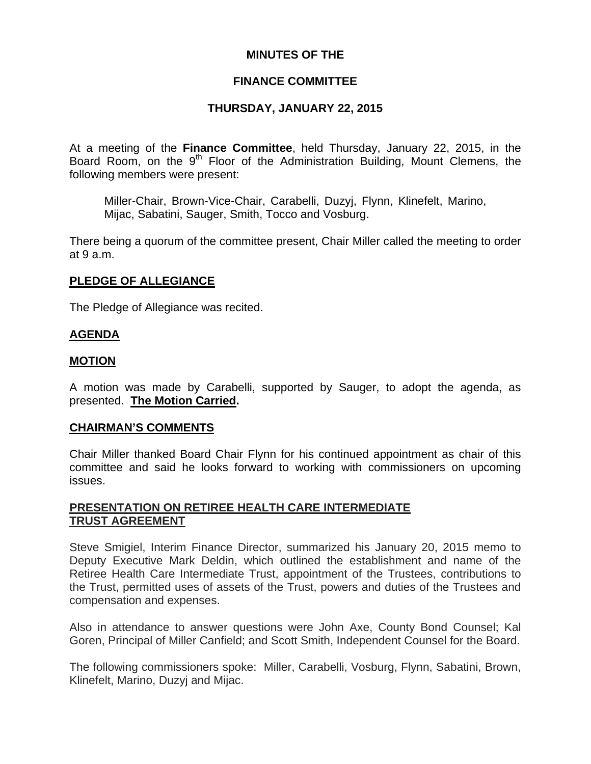## **MINUTES OF THE**

## **FINANCE COMMITTEE**

## **THURSDAY, JANUARY 22, 2015**

At a meeting of the **Finance Committee**, held Thursday, January 22, 2015, in the Board Room, on the  $9<sup>th</sup>$  Floor of the Administration Building, Mount Clemens, the following members were present:

Miller-Chair, Brown-Vice-Chair, Carabelli, Duzyj, Flynn, Klinefelt, Marino, Mijac, Sabatini, Sauger, Smith, Tocco and Vosburg.

There being a quorum of the committee present, Chair Miller called the meeting to order at 9 a.m.

## **PLEDGE OF ALLEGIANCE**

The Pledge of Allegiance was recited.

### **AGENDA**

### **MOTION**

A motion was made by Carabelli, supported by Sauger, to adopt the agenda, as presented. **The Motion Carried.** 

### **CHAIRMAN'S COMMENTS**

Chair Miller thanked Board Chair Flynn for his continued appointment as chair of this committee and said he looks forward to working with commissioners on upcoming issues.

### **PRESENTATION ON RETIREE HEALTH CARE INTERMEDIATE TRUST AGREEMENT**

Steve Smigiel, Interim Finance Director, summarized his January 20, 2015 memo to Deputy Executive Mark Deldin, which outlined the establishment and name of the Retiree Health Care Intermediate Trust, appointment of the Trustees, contributions to the Trust, permitted uses of assets of the Trust, powers and duties of the Trustees and compensation and expenses.

Also in attendance to answer questions were John Axe, County Bond Counsel; Kal Goren, Principal of Miller Canfield; and Scott Smith, Independent Counsel for the Board.

The following commissioners spoke: Miller, Carabelli, Vosburg, Flynn, Sabatini, Brown, Klinefelt, Marino, Duzyj and Mijac.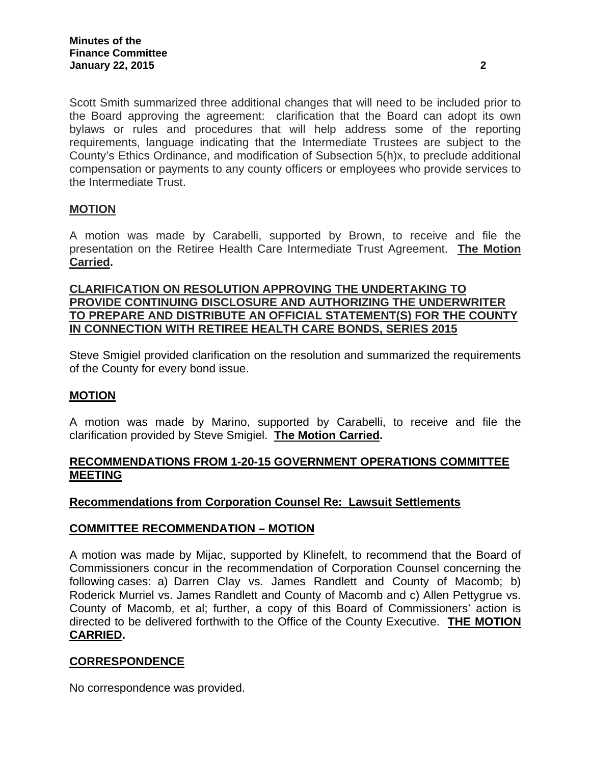Scott Smith summarized three additional changes that will need to be included prior to the Board approving the agreement: clarification that the Board can adopt its own bylaws or rules and procedures that will help address some of the reporting requirements, language indicating that the Intermediate Trustees are subject to the County's Ethics Ordinance, and modification of Subsection 5(h)x, to preclude additional compensation or payments to any county officers or employees who provide services to the Intermediate Trust.

## **MOTION**

A motion was made by Carabelli, supported by Brown, to receive and file the presentation on the Retiree Health Care Intermediate Trust Agreement. **The Motion Carried.** 

## **CLARIFICATION ON RESOLUTION APPROVING THE UNDERTAKING TO PROVIDE CONTINUING DISCLOSURE AND AUTHORIZING THE UNDERWRITER TO PREPARE AND DISTRIBUTE AN OFFICIAL STATEMENT(S) FOR THE COUNTY IN CONNECTION WITH RETIREE HEALTH CARE BONDS, SERIES 2015**

Steve Smigiel provided clarification on the resolution and summarized the requirements of the County for every bond issue.

### **MOTION**

A motion was made by Marino, supported by Carabelli, to receive and file the clarification provided by Steve Smigiel. **The Motion Carried.** 

## **RECOMMENDATIONS FROM 1-20-15 GOVERNMENT OPERATIONS COMMITTEE MEETING**

## **Recommendations from Corporation Counsel Re: Lawsuit Settlements**

### **COMMITTEE RECOMMENDATION – MOTION**

A motion was made by Mijac, supported by Klinefelt, to recommend that the Board of Commissioners concur in the recommendation of Corporation Counsel concerning the following cases: a) Darren Clay vs. James Randlett and County of Macomb; b) Roderick Murriel vs. James Randlett and County of Macomb and c) Allen Pettygrue vs. County of Macomb, et al; further, a copy of this Board of Commissioners' action is directed to be delivered forthwith to the Office of the County Executive. **THE MOTION CARRIED.**

### **CORRESPONDENCE**

No correspondence was provided.